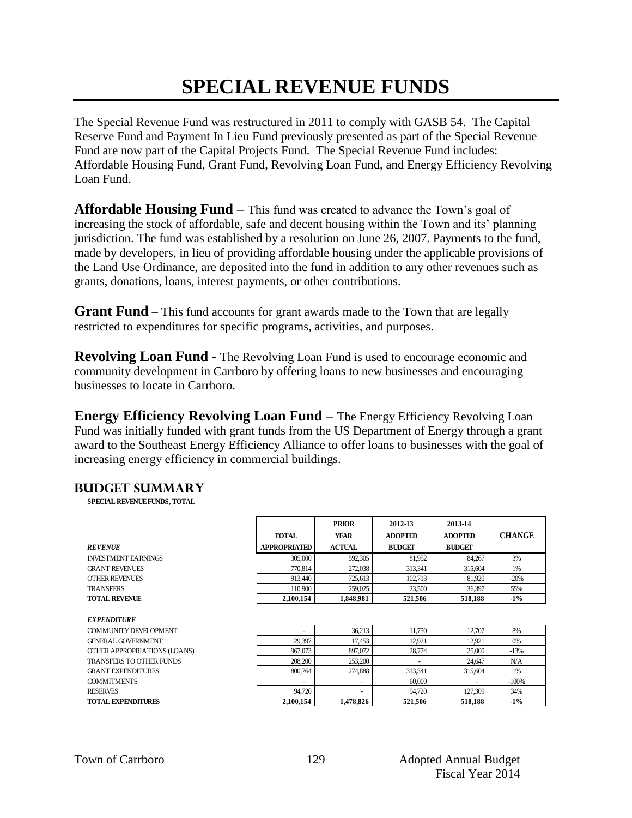## **SPECIAL REVENUE FUNDS**

The Special Revenue Fund was restructured in 2011 to comply with GASB 54. The Capital Reserve Fund and Payment In Lieu Fund previously presented as part of the Special Revenue Fund are now part of the Capital Projects Fund. The Special Revenue Fund includes: Affordable Housing Fund, Grant Fund, Revolving Loan Fund, and Energy Efficiency Revolving Loan Fund.

**Affordable Housing Fund –** This fund was created to advance the Town's goal of increasing the stock of affordable, safe and decent housing within the Town and its' planning jurisdiction. The fund was established by a resolution on June 26, 2007. Payments to the fund, made by developers, in lieu of providing affordable housing under the applicable provisions of the Land Use Ordinance, are deposited into the fund in addition to any other revenues such as grants, donations, loans, interest payments, or other contributions.

**Grant Fund** – This fund accounts for grant awards made to the Town that are legally restricted to expenditures for specific programs, activities, and purposes.

**Revolving Loan Fund -** The Revolving Loan Fund is used to encourage economic and community development in Carrboro by offering loans to new businesses and encouraging businesses to locate in Carrboro.

**Energy Efficiency Revolving Loan Fund –** The Energy Efficiency Revolving Loan Fund was initially funded with grant funds from the US Department of Energy through a grant award to the Southeast Energy Efficiency Alliance to offer loans to businesses with the goal of increasing energy efficiency in commercial buildings.

Г

### **Budget summary**

**SPECIAL REVENUE FUNDS, TOTAL**

|                                 | <b>TOTAL</b>        | <b>YEAR</b>   | <b>ADOPTED</b> | <b>ADOPTED</b> | <b>CHANGE</b> |
|---------------------------------|---------------------|---------------|----------------|----------------|---------------|
| <b>REVENUE</b>                  | <b>APPROPRIATED</b> | <b>ACTUAL</b> | <b>BUDGET</b>  | <b>BUDGET</b>  |               |
| <b>INVESTMENT EARNINGS</b>      | 305,000             | 592,305       | 81,952         | 84,267         | 3%            |
| <b>GRANT REVENUES</b>           | 770.814             | 272,038       | 313,341        | 315,604        | 1%            |
| <b>OTHER REVENUES</b>           | 913.440             | 725,613       | 102,713        | 81,920         | $-20%$        |
| <b>TRANSFERS</b>                | 110.900             | 259,025       | 23,500         | 36,397         | 55%           |
| <b>TOTAL REVENUE</b>            | 2,100,154           | 1,848,981     | 521,506        | 518,188        | $-1\%$        |
|                                 |                     |               |                |                |               |
| <b>EXPENDITURE</b>              |                     |               |                |                |               |
| COMMUNITY DEVELOPMENT           |                     | 36,213        | 11,750         | 12,707         | 8%            |
| <b>GENERAL GOVERNMENT</b>       | 29,397              | 17,453        | 12,921         | 12,921         | 0%            |
| OTHER APPROPRIATIONS (LOANS)    | 967,073             | 897,072       | 28,774         | 25,000         | $-13%$        |
| <b>TRANSFERS TO OTHER FUNDS</b> | 208,200             | 253,200       |                | 24,647         | N/A           |
| <b>GRANT EXPENDITURES</b>       | 800.764             | 274,888       | 313,341        | 315,604        | 1%            |
| <b>COMMITMENTS</b>              |                     |               | 60,000         |                | $-100%$       |
| <b>RESERVES</b>                 | 94.720              |               | 94.720         | 127,309        | 34%           |
| <b>TOTAL EXPENDITURES</b>       | 2,100,154           | 1,478,826     | 521,506        | 518,188        | $-1\%$        |
|                                 |                     |               |                |                |               |

**PRIOR 2012-13 2013-14**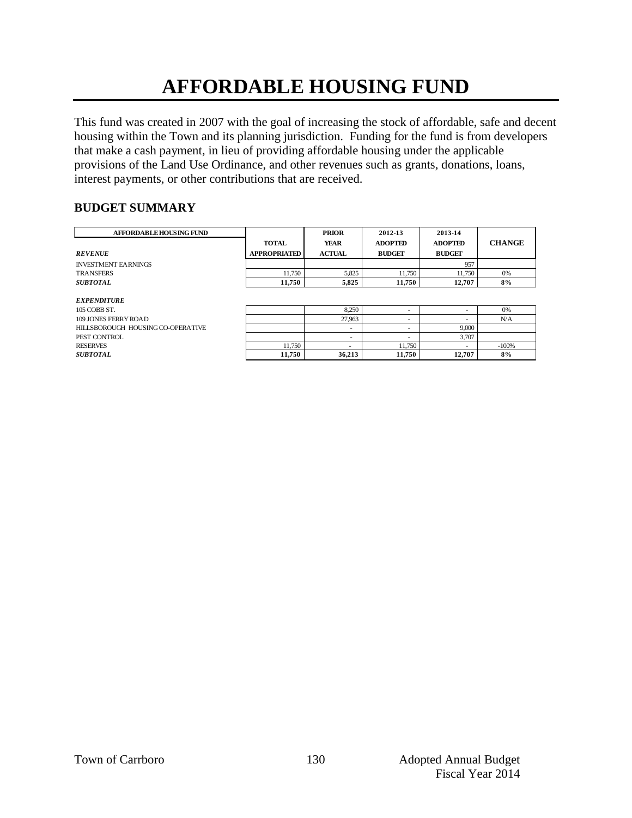# **AFFORDABLE HOUSING FUND**

This fund was created in 2007 with the goal of increasing the stock of affordable, safe and decent housing within the Town and its planning jurisdiction. Funding for the fund is from developers that make a cash payment, in lieu of providing affordable housing under the applicable provisions of the Land Use Ordinance, and other revenues such as grants, donations, loans, interest payments, or other contributions that are received.

### **BUDGET SUMMARY**

| <b>AFFORDABLE HOUSING FUND</b> |                     | <b>PRIOR</b>  | 2012-13        | 2013-14        |               |
|--------------------------------|---------------------|---------------|----------------|----------------|---------------|
|                                | <b>TOTAL</b>        | <b>YEAR</b>   | <b>ADOPTED</b> | <b>ADOPTED</b> | <b>CHANGE</b> |
| <b>REVENUE</b>                 | <b>APPROPRIATED</b> | <b>ACTUAL</b> | <b>BUDGET</b>  | <b>BUDGET</b>  |               |
| <b>INVESTMENT EARNINGS</b>     |                     |               |                | 957            |               |
| <b>TRANSFERS</b>               | 11.750              | 5,825         | 11.750         | 11.750         | 0%            |
| <b>SUBTOTAL</b>                | 11.750              | 5.825         | 11.750         | 12,707         | 8%            |
|                                |                     |               |                |                |               |
| <i><b>EXPENDITURE</b></i>      |                     |               |                |                |               |
| 105 COBB ST.                   |                     | 8,250         |                |                | 0%            |
|                                |                     |               |                |                |               |

| елі еврі опе                      |        |                          |        |        |         |
|-----------------------------------|--------|--------------------------|--------|--------|---------|
| 105 COBB ST.                      |        | 8.250                    |        |        | 0%      |
| <b>109 JONES FERRY ROAD</b>       |        | 27.963                   |        |        | N/A     |
| HILLSBOROUGH HOUSING CO-OPERATIVE |        |                          |        | 9,000  |         |
| PEST CONTROL                      |        |                          |        | 3,707  |         |
| RESERVES                          | 11.750 | $\overline{\phantom{a}}$ | 11.750 |        | $-100%$ |
| SUBTOTAL                          | 11.750 | 36.213                   | 11.750 | 12,707 | 8%      |
|                                   |        |                          |        |        |         |
|                                   |        |                          |        |        |         |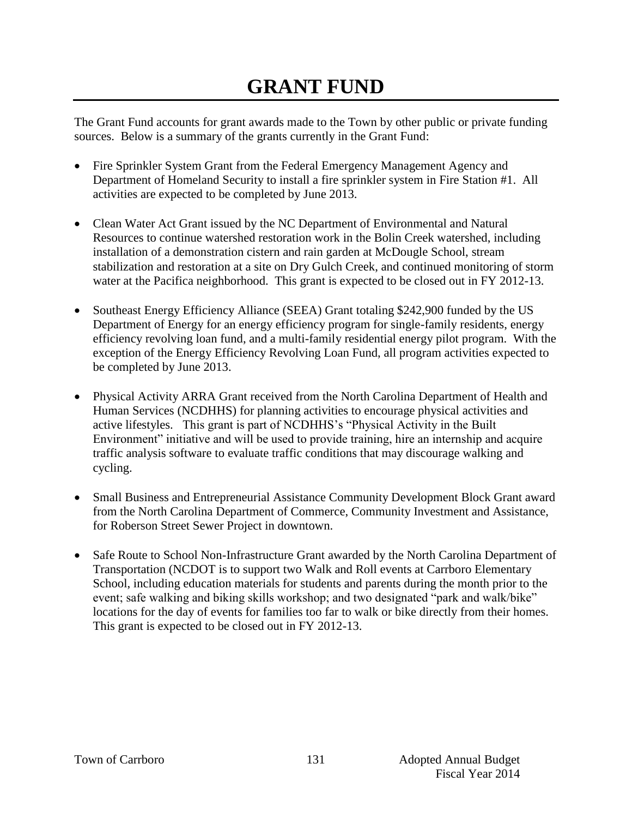## **GRANT FUND**

The Grant Fund accounts for grant awards made to the Town by other public or private funding sources. Below is a summary of the grants currently in the Grant Fund:

- Fire Sprinkler System Grant from the Federal Emergency Management Agency and Department of Homeland Security to install a fire sprinkler system in Fire Station #1. All activities are expected to be completed by June 2013.
- Clean Water Act Grant issued by the NC Department of Environmental and Natural Resources to continue watershed restoration work in the Bolin Creek watershed, including installation of a demonstration cistern and rain garden at McDougle School, stream stabilization and restoration at a site on Dry Gulch Creek, and continued monitoring of storm water at the Pacifica neighborhood. This grant is expected to be closed out in FY 2012-13.
- Southeast Energy Efficiency Alliance (SEEA) Grant totaling \$242,900 funded by the US Department of Energy for an energy efficiency program for single-family residents, energy efficiency revolving loan fund, and a multi-family residential energy pilot program. With the exception of the Energy Efficiency Revolving Loan Fund, all program activities expected to be completed by June 2013.
- Physical Activity ARRA Grant received from the North Carolina Department of Health and Human Services (NCDHHS) for planning activities to encourage physical activities and active lifestyles. This grant is part of NCDHHS's "Physical Activity in the Built Environment" initiative and will be used to provide training, hire an internship and acquire traffic analysis software to evaluate traffic conditions that may discourage walking and cycling.
- Small Business and Entrepreneurial Assistance Community Development Block Grant award from the North Carolina Department of Commerce, Community Investment and Assistance, for Roberson Street Sewer Project in downtown.
- Safe Route to School Non-Infrastructure Grant awarded by the North Carolina Department of Transportation (NCDOT is to support two Walk and Roll events at Carrboro Elementary School, including education materials for students and parents during the month prior to the event; safe walking and biking skills workshop; and two designated "park and walk/bike" locations for the day of events for families too far to walk or bike directly from their homes. This grant is expected to be closed out in FY 2012-13.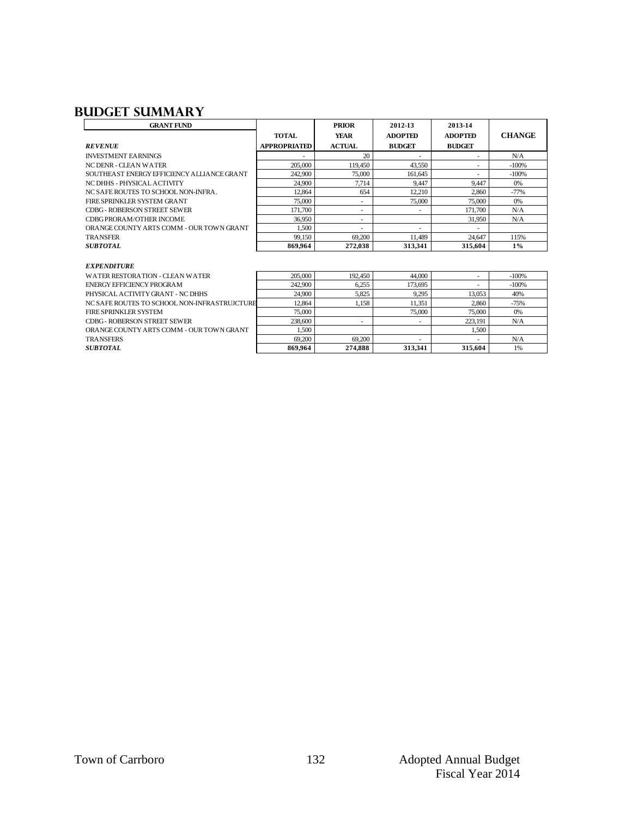### **Budget summary**

| <b>GRANT FUND</b>                          |                     | <b>PRIOR</b>  | 2012-13                  | 2013-14        |               |
|--------------------------------------------|---------------------|---------------|--------------------------|----------------|---------------|
|                                            | <b>TOTAL</b>        | <b>YEAR</b>   | <b>ADOPTED</b>           | <b>ADOPTED</b> | <b>CHANGE</b> |
| <b>REVENUE</b>                             | <b>APPROPRIATED</b> | <b>ACTUAL</b> | <b>BUDGET</b>            | <b>BUDGET</b>  |               |
| <b>INVESTMENT FARNINGS</b>                 |                     | 20            | $\overline{\phantom{a}}$ |                | N/A           |
| NC DENR - CLEAN WATER                      | 205,000             | 119.450       | 43,550                   | ۰              | $-100%$       |
| SOUTHEAST ENERGY EFFICIENCY ALLIANCE GRANT | 242,900             | 75,000        | 161,645                  |                | $-100%$       |
| NC DHHS - PHYSICAL ACTIVITY                | 24,900              | 7.714         | 9.447                    | 9.447          | 0%            |
| NC SAFE ROUTES TO SCHOOL NON-INFRA.        | 12.864              | 654           | 12,210                   | 2.860          | $-77%$        |
| FIRE SPRINKLER SYSTEM GRANT                | 75,000              | ۰             | 75,000                   | 75,000         | 0%            |
| CDBG - ROBERSON STREET SEWER               | 171.700             | ۰             | $\overline{\phantom{a}}$ | 171,700        | N/A           |
| CDBG PRORAM/OTHER INCOME                   | 36,950              | ۰             |                          | 31,950         | N/A           |
| ORANGE COUNTY ARTS COMM - OUR TOWN GRANT   | 1.500               | ۰             | $\overline{\phantom{a}}$ |                |               |
| <b>TRANSFER</b>                            | 99.150              | 69.200        | 11.489                   | 24,647         | 115%          |
| <i><b>SUBTOTAL</b></i>                     | 869.964             | 272,038       | 313.341                  | 315,604        | $1\%$         |
|                                            |                     |               |                          |                |               |

| 205,000                                                | 192,450                  | 44,000                   |         | $-100%$ |
|--------------------------------------------------------|--------------------------|--------------------------|---------|---------|
| 242,900                                                | 6.255                    | 173,695                  |         | $-100%$ |
| 24,900                                                 | 5.825                    | 9.295                    | 13.053  | 40%     |
| 12.864<br>NC SAFE ROUTES TO SCHOOL NON-INFRASTRUJCTURE | 1,158                    | 11.351                   | 2,860   | $-75%$  |
| 75,000                                                 |                          | 75,000                   | 75,000  | 0%      |
| 238,600                                                | $\overline{\phantom{a}}$ | $\overline{\phantom{a}}$ | 223.191 | N/A     |
| 1.500                                                  |                          |                          | 1.500   |         |
| 69,200                                                 | 69.200                   | $\overline{\phantom{a}}$ |         | N/A     |
| 869.964                                                | 274.888                  | 313.341                  | 315,604 | 1%      |
|                                                        |                          |                          |         |         |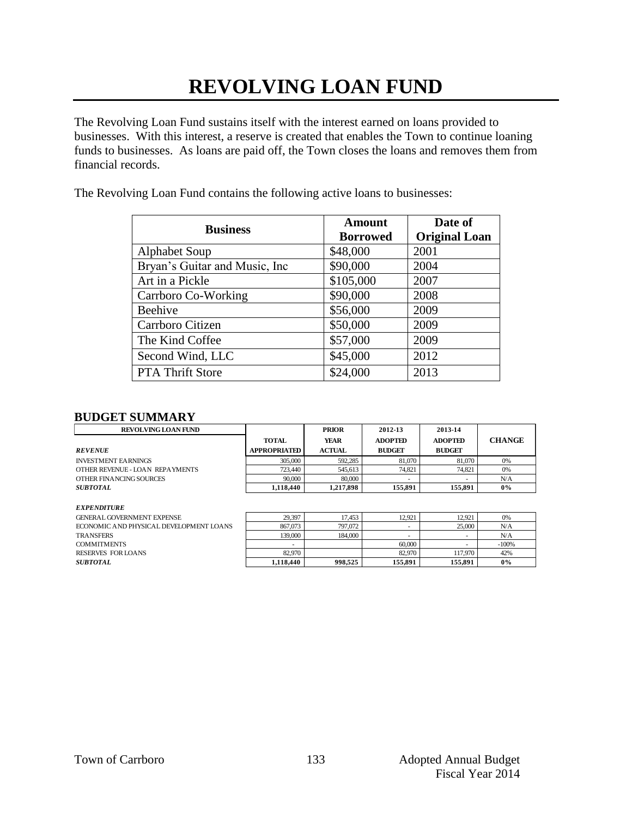# **REVOLVING LOAN FUND**

The Revolving Loan Fund sustains itself with the interest earned on loans provided to businesses. With this interest, a reserve is created that enables the Town to continue loaning funds to businesses. As loans are paid off, the Town closes the loans and removes them from financial records.

The Revolving Loan Fund contains the following active loans to businesses:

| <b>Business</b>                | <b>Amount</b><br><b>Borrowed</b> | Date of<br><b>Original Loan</b> |
|--------------------------------|----------------------------------|---------------------------------|
| <b>Alphabet Soup</b>           | \$48,000                         | 2001                            |
| Bryan's Guitar and Music, Inc. | \$90,000                         | 2004                            |
| Art in a Pickle                | \$105,000                        | 2007                            |
| Carrboro Co-Working            | \$90,000                         | 2008                            |
| Beehive                        | \$56,000                         | 2009                            |
| Carrboro Citizen               | \$50,000                         | 2009                            |
| The Kind Coffee                | \$57,000                         | 2009                            |
| Second Wind, LLC               | \$45,000                         | 2012                            |
| <b>PTA Thrift Store</b>        | \$24,000                         | 2013                            |

### **BUDGET SUMMARY**

| <b>REVOLVING LOAN FUND</b>      |                     | <b>PRIOR</b>  | 2012-13        | 2013-14        |               |
|---------------------------------|---------------------|---------------|----------------|----------------|---------------|
|                                 | <b>TOTAL</b>        | YEAR          | <b>ADOPTED</b> | <b>ADOPTED</b> | <b>CHANGE</b> |
| <b>REVENUE</b>                  | <b>APPROPRIATED</b> | <b>ACTUAL</b> | <b>BUDGET</b>  | <b>BUDGET</b>  |               |
| <b>INVESTMENT EARNINGS</b>      | 305,000             | 592.285       | 81,070         | 81,070         | 0%            |
| OTHER REVENUE - LOAN REPAYMENTS | 723,440             | 545,613       | 74.821         | 74.821         | 0%            |
| OTHER FINANCING SOURCES         | 90,000              | 80,000        |                |                | N/A           |
| <b>SUBTOTAL</b>                 | 1.118.440           | 1.217.898     | 155.891        | 155,891        | $0\%$         |
|                                 |                     |               |                |                |               |

#### *EXPENDITURE*

| GENERAL GOVERNMENT EXPENSE              | 29,397    | 17.453  | 12.921                   | 12.921  | 0%      |
|-----------------------------------------|-----------|---------|--------------------------|---------|---------|
| ECONOMIC AND PHYSICAL DEVELOPMENT LOANS | 867,073   | 797.072 |                          | 25,000  | N/A     |
| TRANSFERS                               | 139,000   | 184,000 | $\overline{\phantom{a}}$ | ۰       | N/A     |
| <b>COMMITMENTS</b>                      |           |         | 60,000                   |         | $-100%$ |
| RESERVES FOR LOANS                      | 82,970    |         | 82,970                   | 117,970 | 42%     |
| <i><b>SUBTOTAL</b></i>                  | 1.118.440 | 998.525 | 155.891                  | 155.891 | $0\%$   |
|                                         |           |         |                          |         |         |